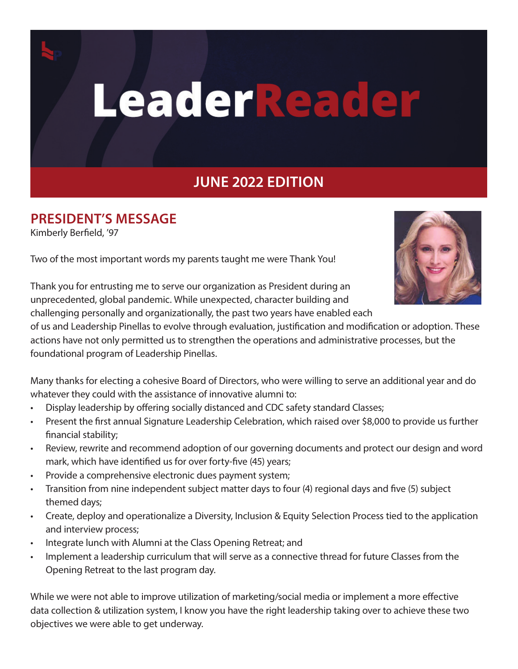

# LeaderReader

# **JUNE 2022 EDITION**

#### **PRESIDENT'S MESSAGE**

Kimberly Berfield, '97

Two of the most important words my parents taught me were Thank You!



Thank you for entrusting me to serve our organization as President during an unprecedented, global pandemic. While unexpected, character building and challenging personally and organizationally, the past two years have enabled each

of us and Leadership Pinellas to evolve through evaluation, justification and modification or adoption. These actions have not only permitted us to strengthen the operations and administrative processes, but the foundational program of Leadership Pinellas.

Many thanks for electing a cohesive Board of Directors, who were willing to serve an additional year and do whatever they could with the assistance of innovative alumni to:

- Display leadership by offering socially distanced and CDC safety standard Classes;
- Present the first annual Signature Leadership Celebration, which raised over \$8,000 to provide us further financial stability;
- Review, rewrite and recommend adoption of our governing documents and protect our design and word mark, which have identified us for over forty-five (45) years;
- Provide a comprehensive electronic dues payment system;
- Transition from nine independent subject matter days to four (4) regional days and five (5) subject themed days;
- Create, deploy and operationalize a Diversity, Inclusion & Equity Selection Process tied to the application and interview process;
- Integrate lunch with Alumni at the Class Opening Retreat; and
- Implement a leadership curriculum that will serve as a connective thread for future Classes from the Opening Retreat to the last program day.

While we were not able to improve utilization of marketing/social media or implement a more effective data collection & utilization system, I know you have the right leadership taking over to achieve these two objectives we were able to get underway.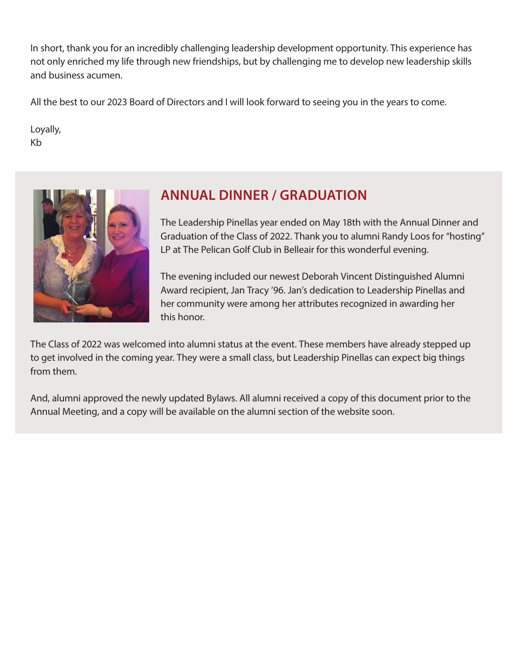In short, thank you for an incredibly challenging leadership development opportunity. This experience has not only enriched my life through new friendships, but by challenging me to develop new leadership skills and business acumen.

All the best to our 2023 Board of Directors and I will look forward to seeing you in the years to come.

Loyally, Kb



## **ANNUAL DINNER / GRADUATION**

The Leadership Pinellas year ended on May 18th with the Annual Dinner and Graduation of the Class of 2022. Thank you to alumni Randy Loos for "hosting" LP at The Pelican Golf Club in Belleair for this wonderful evening.

The evening included our newest Deborah Vincent Distinguished Alumni Award recipient, Jan Tracy '96. Jan's dedication to Leadership Pinellas and her community were among her attributes recognized in awarding her this honor.

The Class of 2022 was welcomed into alumni status at the event. These members have already stepped up to get involved in the coming year. They were a small class, but Leadership Pinellas can expect big things from them.

And, alumni approved the newly updated Bylaws. All alumni received a copy of this document prior to the Annual Meeting, and a copy will be available on the alumni section of the website soon.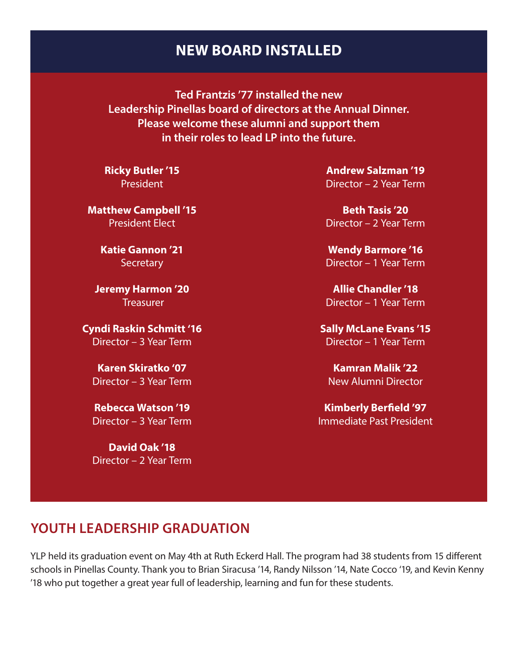#### **NEW BOARD INSTALLED**

**Ted Frantzis '77 installed the new Leadership Pinellas board of directors at the Annual Dinner. Please welcome these alumni and support them in their roles to lead LP into the future.**

**Ricky Butler '15** President

**Matthew Campbell '15** President Elect

> **Katie Gannon '21 Secretary**

**Jeremy Harmon '20 Treasurer** 

**Cyndi Raskin Schmitt '16** Director – 3 Year Term

**Karen Skiratko '07** Director – 3 Year Term

**Rebecca Watson '19** Director – 3 Year Term

**David Oak '18** Director – 2 Year Term

**Andrew Salzman '19** Director – 2 Year Term

**Beth Tasis '20** Director – 2 Year Term

**Wendy Barmore '16** Director – 1 Year Term

**Allie Chandler '18** Director – 1 Year Term

**Sally McLane Evans '15** Director – 1 Year Term

**Kamran Malik '22** New Alumni Director

**Kimberly Berfield '97** Immediate Past President

## **YOUTH LEADERSHIP GRADUATION**

YLP held its graduation event on May 4th at Ruth Eckerd Hall. The program had 38 students from 15 different schools in Pinellas County. Thank you to Brian Siracusa '14, Randy Nilsson '14, Nate Cocco '19, and Kevin Kenny '18 who put together a great year full of leadership, learning and fun for these students.